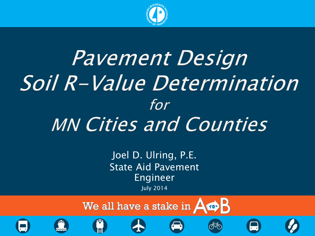

# Pavement Design Soil R-Value Determination for MN Cities and Counties

Joel D. Ulring, P.E. State Aid Pavement Engineer July 2014

We all have a stake in  $\overline{A\oplus B}$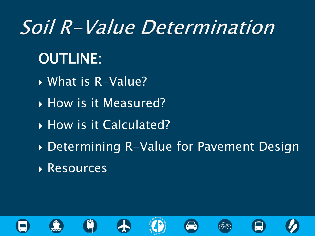# Soil R-Value Determination

## OUTLINE:

- **What is R-Value?**
- **How is it Measured?**
- ▶ How is it Calculated?
- Determining R-Value for Pavement Design
- **Resources**













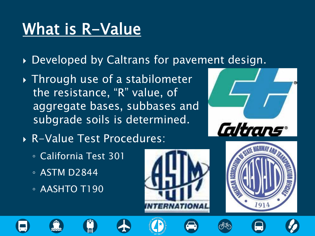# What is R-Value

- Developed by Caltrans for pavement design.
- Through use of a stabilometer the resistance, "R" value, of aggregate bases, subbases and subgrade soils is determined.
- R-Value Test Procedures:
	- California Test 301
	- ASTM D2844
	- AASHTO T190





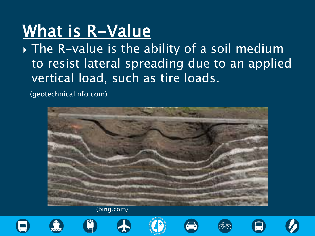# What is R-Value

The R-value is the ability of a soil medium to resist lateral spreading due to an applied vertical load, such as tire loads.

(geotechnicalinfo.com)



(bing.com)











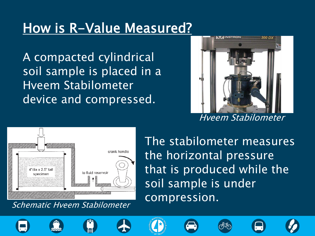### How is R-Value Measured?

A compacted cylindrical soil sample is placed in a Hveem Stabilometer device and compressed.



Hveem Stabilometer



Schematic Hveem Stabilometer

The stabilometer measures the horizontal pressure that is produced while the soil sample is under compression.













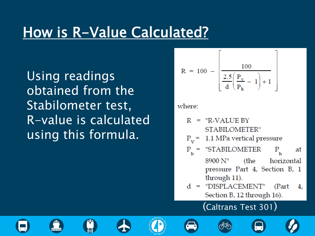### How is R-Value Calculated?

Using readings obtained from the Stabilometer test, R-value is calculated using this formula.

$$
R = 100 - \left[ \frac{100}{\frac{2.5}{d} \left( \frac{P_v}{P_h} - 1 \right) + 1} \right]
$$

#### where:

$$
R = "R-VALUE BYSTABILITY"
$$

$$
P_{\rm v}
$$
 = 1.1 MPa vertical pressure

$$
P_h = "STABILITY_{h} \t at 8900 N'' \t (the horizontal pressure Part 4, Section B, 1 through 11).
$$

#### (Caltrans Test 301)













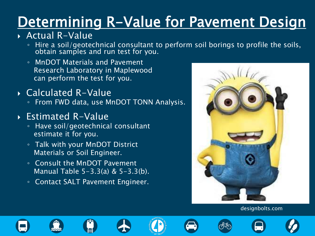# Determining R-Value for Pavement Design

### Actual R-Value

- Hire a soil/geotechnical consultant to perform soil borings to profile the soils, obtain samples and run test for you.
- MnDOT Materials and Pavement Research Laboratory in Maplewood can perform the test for you.
- Calculated R-Value
	- From FWD data, use MnDOT TONN Analysis.

### Estimated R-Value

- Have soil/geotechnical consultant estimate it for you.
- Talk with your MnDOT District Materials or Soil Engineer.
- Consult the MnDOT Pavement Manual Table 5-3.3(a) & 5-3.3(b).
- Contact SALT Pavement Engineer.



#### designbolts.com













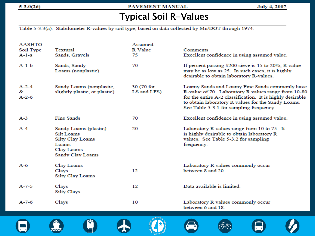#### $5-3.0(26)$

PAVEMENT MANUAL

**July 4, 2007** 

### **Typical Soil R-Values**

Table 5-3.3(a). Stabilometer R-values by soil type, based on data collected by Mn/DOT through 1974.

| <b>AASHTO</b><br>Soil Type<br>$A-1-a$ | Textural<br>Sands, Gravels                                                                         | Assumed<br>R Value<br>75  | Comments<br>Excellent confidence in using assumed value.                                                                                                                                                                                                            |
|---------------------------------------|----------------------------------------------------------------------------------------------------|---------------------------|---------------------------------------------------------------------------------------------------------------------------------------------------------------------------------------------------------------------------------------------------------------------|
| $A-1-b$                               | Sands, Sandy<br>Loams (nonplastic)                                                                 | 70                        | If percent passing $#200$ sieve is 15 to 20%, R value<br>may be as low as 25. In such cases, it is highly<br>desirable to obtain laboratory R-values.                                                                                                               |
| $A - 2 - 4$<br>&<br>$A - 2 - 6$       | Sandy Loams (nonplastic,<br>slightly plastic, or plastic)                                          | 30 (70 for<br>LS and LFS) | Loamy Sands and Loamy Fine Sands commonly have<br>R-value of 70. Laboratory R values range from 10-80<br>for the entire A-2 classification. It is highly desirable<br>to obtain laboratory R values for the Sandy Loams.<br>See Table 5-3.1 for sampling frequency. |
| $A-3$                                 | Fine Sands                                                                                         | 70                        | Excellent confidence in using assumed value.                                                                                                                                                                                                                        |
| $A-4$                                 | Sandy Loams (plastic)<br>Silt Loams<br>Silty Clay Loams<br>Loams<br>Clay Loams<br>Sandy Clay Loams | 20                        | Laboratory R values range from 10 to 75. It<br>is highly desirable to obtain laboratory R<br>values. See Table 5-3.2 for sampling<br>frequency.                                                                                                                     |
| $A-6$                                 | Clay Loams<br>Clays<br><b>Silty Clay Loams</b>                                                     | 12                        | Laboratory R values commonly occur<br>between 8 and 20.                                                                                                                                                                                                             |
| $A - 7 - 5$                           | Clays<br>Silty Clays                                                                               | 12                        | Data available is limited.                                                                                                                                                                                                                                          |
| $A - 7 - 6$                           | Clays                                                                                              | 10                        | Laboratory R values commonly occur<br>between 6 and 18                                                                                                                                                                                                              |

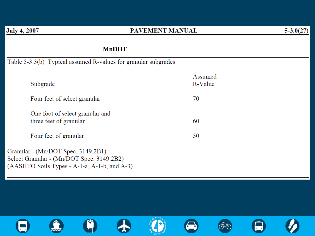#### PAVEMENT MANUAL

#### **MnDOT**

Table 5-3.3(b) Typical assumed R-values for granular subgrades

| Subgrade                                                  | Assumed<br>R-Value |
|-----------------------------------------------------------|--------------------|
| Four feet of select granular                              | 70                 |
| One foot of select granular and<br>three feet of granular | 60                 |
| Four feet of granular                                     | 50                 |
|                                                           |                    |

Granular - (Mn/DOT Spec. 3149.2B1) Select Granular - (Mn/DOT Spec. 3149.2B2) (AASHTO Soils Types - A-1-a, A-1-b, and A-3)

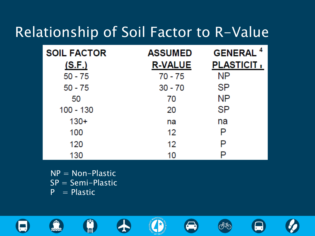### Relationship of Soil Factor to R-Value

| <b>SOIL FACTOR</b><br><u>(S.F.)</u> | <b>ASSUMED</b><br><b>R-VALUE</b> | <b>GENERAL<sup>4</sup></b><br><b>PLASTICIT,</b> |
|-------------------------------------|----------------------------------|-------------------------------------------------|
| $50 - 75$                           | $70 - 75$                        | <b>NP</b>                                       |
| $50 - 75$                           | $30 - 70$                        | SP                                              |
| 50                                  | 70                               | NΡ                                              |
| $100 - 130$                         | 20                               | SP                                              |
| $130+$                              | na                               | na                                              |
| 100                                 | 12                               | P                                               |
| 120                                 | 12                               | P                                               |
| 130                                 | 10                               | P                                               |

桥

 $NP = Non-Plastic$ SP = Semi-Plastic  $P = Plastic$ 

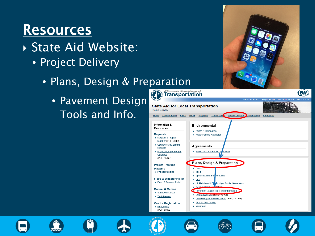### Resources

- State Aid Website:
	- Project Delivery
		- Plans, Design & Preparation
			- Pavement Design Tools and Info.



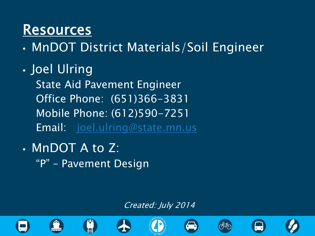### Resources

• MnDOT District Materials/Soil Engineer

• Joel Ulring

 State Aid Pavement Engineer Office Phone: (651)366-3831 Mobile Phone: (612)590-7251 Email: [joel.ulring@state.mn.us](mailto:joel.ulring@state.mn.us)

• MnDOT A to Z: "P" – Pavement Design

#### Created: July 2014